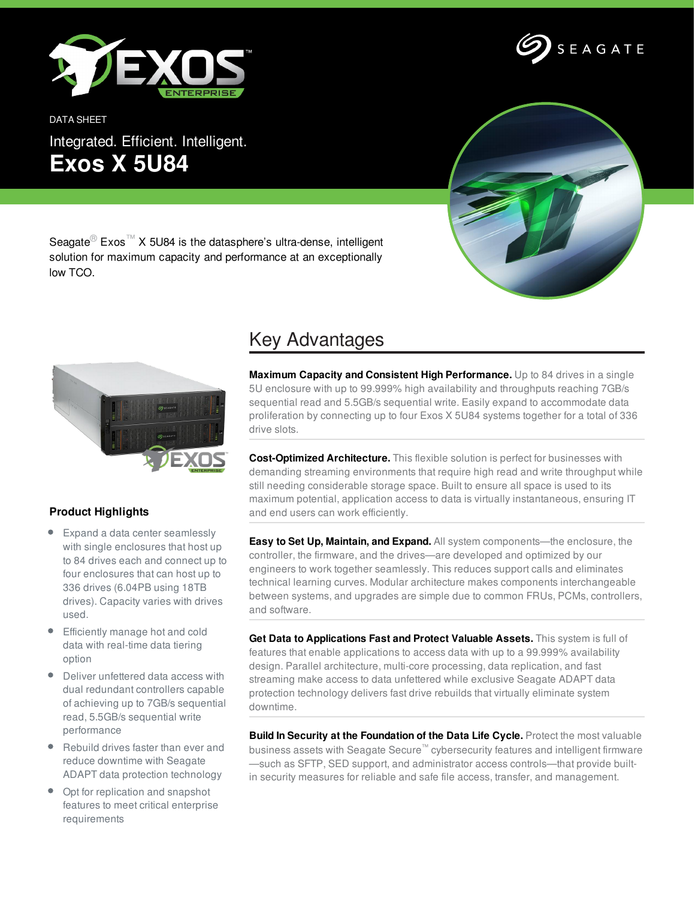

DATA SHEET Integrated. Efficient. Intelligent. **Exos X 5U84**





Seagate<sup>®</sup> Exos<sup>™</sup> X 5U84 is the datasphere's ultra-dense, intelligent solution for maximum capacity and performance at an exceptionally low TCO.



## **Product Highlights**

- Expand a data center seamlessly with single enclosures that host up to 84 drives each and connect up to four enclosures that can host up to 336 drives (6.04PB using 18TB drives). Capacity varies with drives used.
- Efficiently manage hot and cold data with real-time data tiering option
- Deliver unfettered data access with dual redundant controllers capable of achieving up to 7GB/s sequential read, 5.5GB/s sequential write performance
- Rebuild drives faster than ever and reduce downtime with Seagate ADAPT data protection technology
- Opt for replication and snapshot features to meet critical enterprise requirements

## Key Advantages

**Maximum Capacity and Consistent High Performance.** Up to 84 drives in a single 5U enclosure with up to 99.999% high availability and throughputs reaching 7GB/s sequential read and 5.5GB/s sequential write. Easily expand to accommodate data proliferation by connecting up to four Exos X 5U84 systems together for a total of 336 drive slots.

**Cost-Optimized Architecture.** This flexible solution is perfect for businesses with demanding streaming environments that require high read and write throughput while still needing considerable storage space. Built to ensure all space is used to its maximum potential, application access to data is virtually instantaneous, ensuring IT and end users can work efficiently.

**Easy to Set Up, Maintain, and Expand.** All system components—the enclosure, the controller, the firmware, and the drives—are developed and optimized by our engineers to work together seamlessly. This reduces support calls and eliminates technical learning curves. Modular architecture makes components interchangeable between systems, and upgrades are simple due to common FRUs, PCMs, controllers, and software.

**Get Data to Applications Fast and Protect Valuable Assets.** This system is full of features that enable applications to access data with up to a 99.999% availability design. Parallel architecture, multi-core processing, data replication, and fast streaming make access to data unfettered while exclusive Seagate ADAPT data protection technology delivers fast drive rebuilds that virtually eliminate system downtime.

**Build In Security at the Foundation of the Data Life Cycle.** Protect the most valuable business assets with Seagate Secure™ cybersecurity features and intelligent firmware —such as SFTP, SED support, and administrator access controls—that provide builtin security measures for reliable and safe file access, transfer, and management.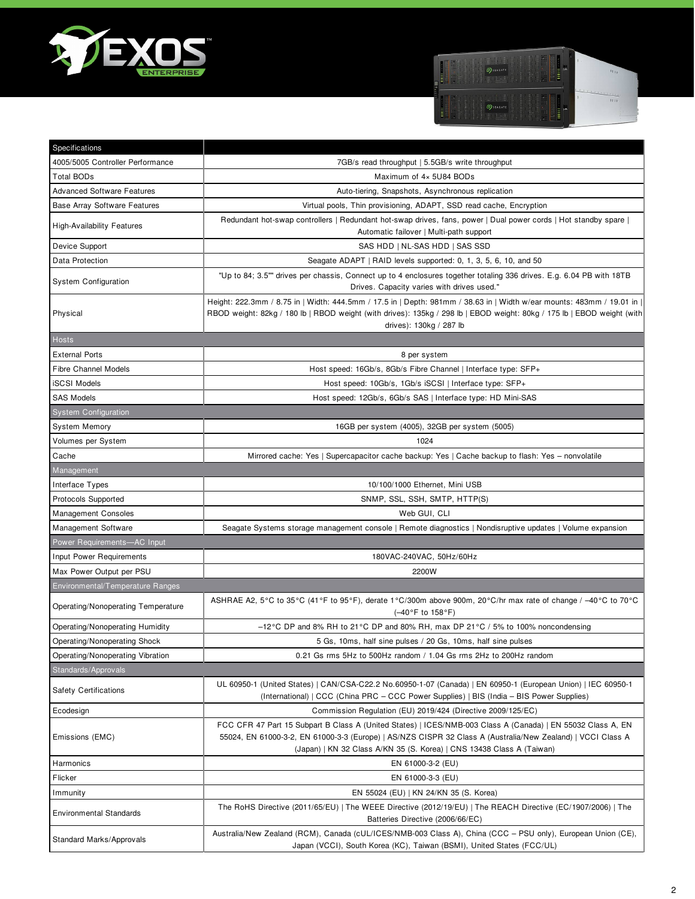



| Specifications                      |                                                                                                                                                                                                                                                                                                     |
|-------------------------------------|-----------------------------------------------------------------------------------------------------------------------------------------------------------------------------------------------------------------------------------------------------------------------------------------------------|
| 4005/5005 Controller Performance    | 7GB/s read throughput   5.5GB/s write throughput                                                                                                                                                                                                                                                    |
| Total BODs                          | Maximum of 4x 5U84 BODs                                                                                                                                                                                                                                                                             |
| <b>Advanced Software Features</b>   | Auto-tiering, Snapshots, Asynchronous replication                                                                                                                                                                                                                                                   |
| <b>Base Array Software Features</b> | Virtual pools, Thin provisioning, ADAPT, SSD read cache, Encryption                                                                                                                                                                                                                                 |
| <b>High-Availability Features</b>   | Redundant hot-swap controllers   Redundant hot-swap drives, fans, power   Dual power cords   Hot standby spare  <br>Automatic failover   Multi-path support                                                                                                                                         |
| Device Support                      | SAS HDD   NL-SAS HDD   SAS SSD                                                                                                                                                                                                                                                                      |
| Data Protection                     | Seagate ADAPT   RAID levels supported: 0, 1, 3, 5, 6, 10, and 50                                                                                                                                                                                                                                    |
| <b>System Configuration</b>         | "Up to 84; 3.5"" drives per chassis, Connect up to 4 enclosures together totaling 336 drives. E.g. 6.04 PB with 18TB<br>Drives. Capacity varies with drives used."                                                                                                                                  |
| Physical                            | Height: 222.3mm / 8.75 in   Width: 444.5mm / 17.5 in   Depth: 981mm / 38.63 in   Width w/ear mounts: 483mm / 19.01 in  <br>RBOD weight: 82kg / 180 lb   RBOD weight (with drives): 135kg / 298 lb   EBOD weight: 80kg / 175 lb   EBOD weight (with<br>drives): 130kg / 287 lb                       |
| Hosts                               |                                                                                                                                                                                                                                                                                                     |
| <b>External Ports</b>               | 8 per system                                                                                                                                                                                                                                                                                        |
| <b>Fibre Channel Models</b>         | Host speed: 16Gb/s, 8Gb/s Fibre Channel   Interface type: SFP+                                                                                                                                                                                                                                      |
| <b>iSCSI Models</b>                 | Host speed: 10Gb/s, 1Gb/s iSCSI   Interface type: SFP+                                                                                                                                                                                                                                              |
| <b>SAS Models</b>                   | Host speed: 12Gb/s, 6Gb/s SAS   Interface type: HD Mini-SAS                                                                                                                                                                                                                                         |
| <b>System Configuration</b>         |                                                                                                                                                                                                                                                                                                     |
| <b>System Memory</b>                | 16GB per system (4005), 32GB per system (5005)                                                                                                                                                                                                                                                      |
| Volumes per System                  | 1024                                                                                                                                                                                                                                                                                                |
| Cache                               | Mirrored cache: Yes   Supercapacitor cache backup: Yes   Cache backup to flash: Yes - nonvolatile                                                                                                                                                                                                   |
| Management                          |                                                                                                                                                                                                                                                                                                     |
| Interface Types                     | 10/100/1000 Ethernet, Mini USB                                                                                                                                                                                                                                                                      |
| Protocols Supported                 | SNMP, SSL, SSH, SMTP, HTTP(S)                                                                                                                                                                                                                                                                       |
| <b>Management Consoles</b>          | Web GUI, CLI                                                                                                                                                                                                                                                                                        |
| Management Software                 | Seagate Systems storage management console   Remote diagnostics   Nondisruptive updates   Volume expansion                                                                                                                                                                                          |
| Power Requirements-AC Input         |                                                                                                                                                                                                                                                                                                     |
| Input Power Requirements            | 180VAC-240VAC, 50Hz/60Hz                                                                                                                                                                                                                                                                            |
| Max Power Output per PSU            | 2200W                                                                                                                                                                                                                                                                                               |
| Environmental/Temperature Ranges    |                                                                                                                                                                                                                                                                                                     |
| Operating/Nonoperating Temperature  | ASHRAE A2, 5°C to 35°C (41°F to 95°F), derate 1°C/300m above 900m, 20°C/hr max rate of change / -40°C to 70°C<br>(-40°F to 158°F)                                                                                                                                                                   |
| Operating/Nonoperating Humidity     | $-12^{\circ}$ C DP and 8% RH to 21 °C DP and 80% RH, max DP 21 °C / 5% to 100% noncondensing                                                                                                                                                                                                        |
| Operating/Nonoperating Shock        | 5 Gs, 10ms, half sine pulses / 20 Gs, 10ms, half sine pulses                                                                                                                                                                                                                                        |
| Operating/Nonoperating Vibration    | 0.21 Gs rms 5Hz to 500Hz random / 1.04 Gs rms 2Hz to 200Hz random                                                                                                                                                                                                                                   |
| Standards/Approvals                 |                                                                                                                                                                                                                                                                                                     |
| <b>Safety Certifications</b>        | UL 60950-1 (United States)   CAN/CSA-C22.2 No.60950-1-07 (Canada)   EN 60950-1 (European Union)   IEC 60950-1<br>(International)   CCC (China PRC - CCC Power Supplies)   BIS (India - BIS Power Supplies)                                                                                          |
| Ecodesign                           | Commission Regulation (EU) 2019/424 (Directive 2009/125/EC)                                                                                                                                                                                                                                         |
| Emissions (EMC)                     | FCC CFR 47 Part 15 Subpart B Class A (United States)   ICES/NMB-003 Class A (Canada)   EN 55032 Class A, EN<br>55024, EN 61000-3-2, EN 61000-3-3 (Europe)   AS/NZS CISPR 32 Class A (Australia/New Zealand)   VCCI Class A<br>(Japan)   KN 32 Class A/KN 35 (S. Korea)   CNS 13438 Class A (Taiwan) |
| Harmonics                           | EN 61000-3-2 (EU)                                                                                                                                                                                                                                                                                   |
| Flicker                             | EN 61000-3-3 (EU)                                                                                                                                                                                                                                                                                   |
| Immunity                            | EN 55024 (EU)   KN 24/KN 35 (S. Korea)                                                                                                                                                                                                                                                              |
| <b>Environmental Standards</b>      | The RoHS Directive (2011/65/EU)   The WEEE Directive (2012/19/EU)   The REACH Directive (EC/1907/2006)   The<br>Batteries Directive (2006/66/EC)                                                                                                                                                    |
| Standard Marks/Approvals            | Australia/New Zealand (RCM), Canada (cUL/ICES/NMB-003 Class A), China (CCC - PSU only), European Union (CE),<br>Japan (VCCI), South Korea (KC), Taiwan (BSMI), United States (FCC/UL)                                                                                                               |